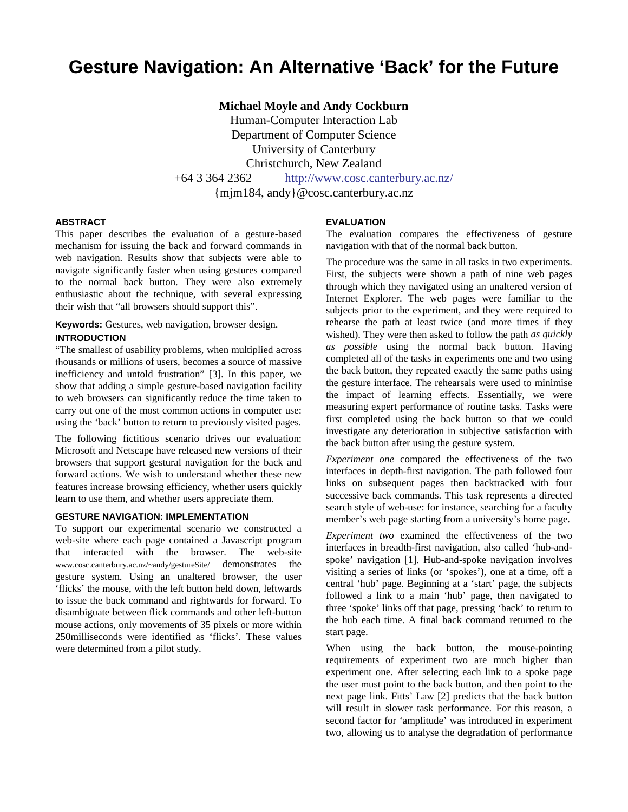# **Gesture Navigation: An Alternative 'Back' for the Future**

**Michael Moyle and Andy Cockburn** Human-Computer Interaction Lab Department of Computer Science University of Canterbury Christchurch, New Zealand +64 3 364 2362 http://www.cosc.canterbury.ac.nz/ {mjm184, andy}@cosc.canterbury.ac.nz

#### **ABSTRACT**

This paper describes the evaluation of a gesture-based mechanism for issuing the back and forward commands in web navigation. Results show that subjects were able to navigate significantly faster when using gestures compared to the normal back button. They were also extremely enthusiastic about the technique, with several expressing their wish that "all browsers should support this".

**Keywords:** Gestures, web navigation, browser design.

# **INTRODUCTION**

"The smallest of usability problems, when multiplied across thousands or millions of users, becomes a source of massive inefficiency and untold frustration" [3]. In this paper, we show that adding a simple gesture-based navigation facility to web browsers can significantly reduce the time taken to carry out one of the most common actions in computer use: using the 'back' button to return to previously visited pages.

The following fictitious scenario drives our evaluation: Microsoft and Netscape have released new versions of their browsers that support gestural navigation for the back and forward actions. We wish to understand whether these new features increase browsing efficiency, whether users quickly learn to use them, and whether users appreciate them.

#### **GESTURE NAVIGATION: IMPLEMENTATION**

To support our experimental scenario we constructed a web-site where each page contained a Javascript program that interacted with the browser. The web-site www.cosc.canterbury.ac.nz/~andy/gestureSite/ demonstrates the gesture system. Using an unaltered browser, the user 'flicks' the mouse, with the left button held down, leftwards to issue the back command and rightwards for forward. To disambiguate between flick commands and other left-button mouse actions, only movements of 35 pixels or more within 250milliseconds were identified as 'flicks'. These values were determined from a pilot study.

# **EVALUATION**

The evaluation compares the effectiveness of gesture navigation with that of the normal back button.

The procedure was the same in all tasks in two experiments. First, the subjects were shown a path of nine web pages through which they navigated using an unaltered version of Internet Explorer. The web pages were familiar to the subjects prior to the experiment, and they were required to rehearse the path at least twice (and more times if they wished). They were then asked to follow the path *as quickly as possible* using the normal back button. Having completed all of the tasks in experiments one and two using the back button, they repeated exactly the same paths using the gesture interface. The rehearsals were used to minimise the impact of learning effects. Essentially, we were measuring expert performance of routine tasks. Tasks were first completed using the back button so that we could investigate any deterioration in subjective satisfaction with the back button after using the gesture system.

*Experiment one* compared the effectiveness of the two interfaces in depth-first navigation. The path followed four links on subsequent pages then backtracked with four successive back commands. This task represents a directed search style of web-use: for instance, searching for a faculty member's web page starting from a university's home page.

*Experiment two* examined the effectiveness of the two interfaces in breadth-first navigation, also called 'hub-andspoke' navigation [1]. Hub-and-spoke navigation involves visiting a series of links (or 'spokes'), one at a time, off a central 'hub' page. Beginning at a 'start' page, the subjects followed a link to a main 'hub' page, then navigated to three 'spoke' links off that page, pressing 'back' to return to the hub each time. A final back command returned to the start page.

When using the back button, the mouse-pointing requirements of experiment two are much higher than experiment one. After selecting each link to a spoke page the user must point to the back button, and then point to the next page link. Fitts' Law [2] predicts that the back button will result in slower task performance. For this reason, a second factor for 'amplitude' was introduced in experiment two, allowing us to analyse the degradation of performance